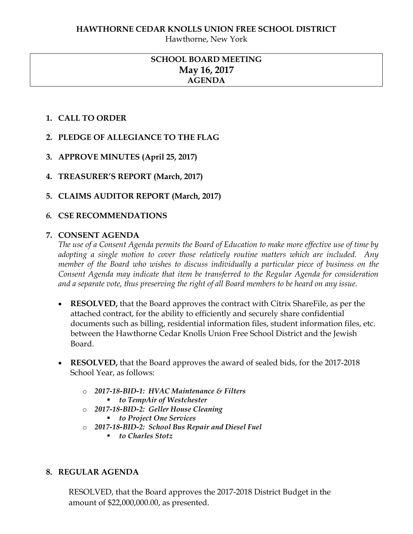Hawthorne, New York

# **SCHOOL BOARD MEETING May 16, 2017 AGENDA**

## **1. CALL TO ORDER**

- **2. PLEDGE OF ALLEGIANCE TO THE FLAG**
- **3. APPROVE MINUTES (April 25, 2017)**
- **4. TREASURER'S REPORT (March, 2017)**
- **5. CLAIMS AUDITOR REPORT (March, 2017)**

## *6.* **CSE RECOMMENDATIONS**

## **7. CONSENT AGENDA**

*The use of a Consent Agenda permits the Board of Education to make more effective use of time by adopting a single motion to cover those relatively routine matters which are included. Any member of the Board who wishes to discuss individually a particular piece of business on the Consent Agenda may indicate that item be transferred to the Regular Agenda for consideration and a separate vote, thus preserving the right of all Board members to be heard on any issue.* 

- **RESOLVED,** that the Board approves the contract with Citrix ShareFile, as per the attached contract, for the ability to efficiently and securely share confidential documents such as billing, residential information files, student information files, etc. between the Hawthorne Cedar Knolls Union Free School District and the Jewish **Board**
- **RESOLVED,** that the Board approves the award of sealed bids, for the 2017-2018 School Year, as follows:
	- o *2017-18-BID-1: HVAC Maintenance & Filters to TempAir of Westchester*
	- o *2017-18-BID-2: Geller House Cleaning*
		- *to Project One Services*
	- o *2017-18-BID-2: School Bus Repair and Diesel Fuel*
		- *to Charles Stotz*

## **8. REGULAR AGENDA**

RESOLVED, that the Board approves the 2017-2018 District Budget in the amount of \$22,000,000.00, as presented.